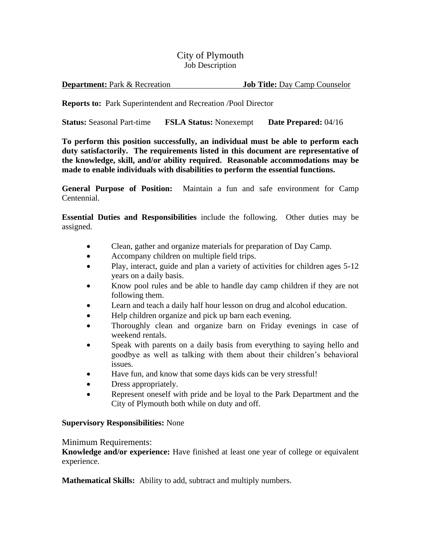## City of Plymouth Job Description

**Reports to:** Park Superintendent and Recreation /Pool Director

**Status:** Seasonal Part-time **FSLA Status:** Nonexempt **Date Prepared:** 04/16

**To perform this position successfully, an individual must be able to perform each duty satisfactorily. The requirements listed in this document are representative of the knowledge, skill, and/or ability required. Reasonable accommodations may be made to enable individuals with disabilities to perform the essential functions.**

**General Purpose of Position:** Maintain a fun and safe environment for Camp Centennial.

**Essential Duties and Responsibilities** include the following. Other duties may be assigned.

- Clean, gather and organize materials for preparation of Day Camp.
- Accompany children on multiple field trips.
- Play, interact, guide and plan a variety of activities for children ages 5-12 years on a daily basis.
- Know pool rules and be able to handle day camp children if they are not following them.
- Learn and teach a daily half hour lesson on drug and alcohol education.
- Help children organize and pick up barn each evening.
- Thoroughly clean and organize barn on Friday evenings in case of weekend rentals.
- Speak with parents on a daily basis from everything to saying hello and goodbye as well as talking with them about their children's behavioral issues.
- Have fun, and know that some days kids can be very stressful!
- Dress appropriately.
- Represent oneself with pride and be loyal to the Park Department and the City of Plymouth both while on duty and off.

## **Supervisory Responsibilities:** None

## Minimum Requirements:

**Knowledge and/or experience:** Have finished at least one year of college or equivalent experience.

**Mathematical Skills:** Ability to add, subtract and multiply numbers.